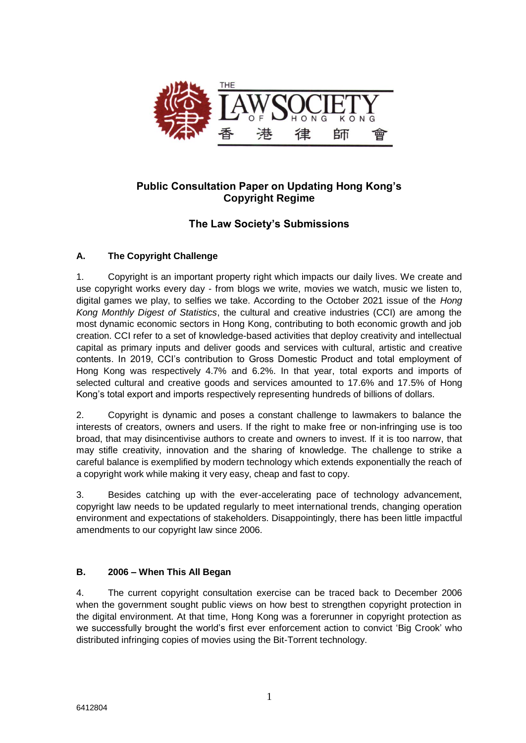

## **Public Consultation Paper on Updating Hong Kong's Copyright Regime**

# **The Law Society's Submissions**

## **A. The Copyright Challenge**

1. Copyright is an important property right which impacts our daily lives. We create and use copyright works every day - from blogs we write, movies we watch, music we listen to, digital games we play, to selfies we take. According to the October 2021 issue of the *Hong Kong Monthly Digest of Statistics*, the cultural and creative industries (CCI) are among the most dynamic economic sectors in Hong Kong, contributing to both economic growth and job creation. CCI refer to a set of knowledge-based activities that deploy creativity and intellectual capital as primary inputs and deliver goods and services with cultural, artistic and creative contents. In 2019, CCI's contribution to Gross Domestic Product and total employment of Hong Kong was respectively 4.7% and 6.2%. In that year, total exports and imports of selected cultural and creative goods and services amounted to 17.6% and 17.5% of Hong Kong's total export and imports respectively representing hundreds of billions of dollars.

2. Copyright is dynamic and poses a constant challenge to lawmakers to balance the interests of creators, owners and users. If the right to make free or non-infringing use is too broad, that may disincentivise authors to create and owners to invest. If it is too narrow, that may stifle creativity, innovation and the sharing of knowledge. The challenge to strike a careful balance is exemplified by modern technology which extends exponentially the reach of a copyright work while making it very easy, cheap and fast to copy.

3. Besides catching up with the ever-accelerating pace of technology advancement, copyright law needs to be updated regularly to meet international trends, changing operation environment and expectations of stakeholders. Disappointingly, there has been little impactful amendments to our copyright law since 2006.

## **B. 2006 – When This All Began**

4. The current copyright consultation exercise can be traced back to December 2006 when the government sought public views on how best to strengthen copyright protection in the digital environment. At that time, Hong Kong was a forerunner in copyright protection as we successfully brought the world's first ever enforcement action to convict 'Big Crook' who distributed infringing copies of movies using the Bit-Torrent technology.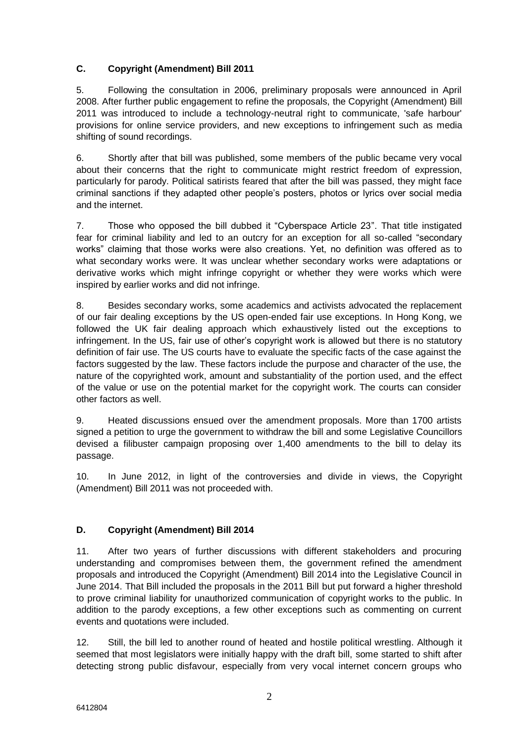## **C. Copyright (Amendment) Bill 2011**

5. Following the consultation in 2006, preliminary proposals were announced in April 2008. After further public engagement to refine the proposals, the Copyright (Amendment) Bill 2011 was introduced to include a technology-neutral right to communicate, 'safe harbour' provisions for online service providers, and new exceptions to infringement such as media shifting of sound recordings.

6. Shortly after that bill was published, some members of the public became very vocal about their concerns that the right to communicate might restrict freedom of expression, particularly for parody. Political satirists feared that after the bill was passed, they might face criminal sanctions if they adapted other people's posters, photos or lyrics over social media and the internet.

7. Those who opposed the bill dubbed it "Cyberspace Article 23". That title instigated fear for criminal liability and led to an outcry for an exception for all so-called "secondary works" claiming that those works were also creations. Yet, no definition was offered as to what secondary works were. It was unclear whether secondary works were adaptations or derivative works which might infringe copyright or whether they were works which were inspired by earlier works and did not infringe.

8. Besides secondary works, some academics and activists advocated the replacement of our fair dealing exceptions by the US open-ended fair use exceptions. In Hong Kong, we followed the UK fair dealing approach which exhaustively listed out the exceptions to infringement. In the US, fair use of other's copyright work is allowed but there is no statutory definition of fair use. The US courts have to evaluate the specific facts of the case against the factors suggested by the law. These factors include the purpose and character of the use, the nature of the copyrighted work, amount and substantiality of the portion used, and the effect of the value or use on the potential market for the copyright work. The courts can consider other factors as well.

9. Heated discussions ensued over the amendment proposals. More than 1700 artists signed a petition to urge the government to withdraw the bill and some Legislative Councillors devised a filibuster campaign proposing over 1,400 amendments to the bill to delay its passage.

10. In June 2012, in light of the controversies and divide in views, the Copyright (Amendment) Bill 2011 was not proceeded with.

## **D. Copyright (Amendment) Bill 2014**

11. After two years of further discussions with different stakeholders and procuring understanding and compromises between them, the government refined the amendment proposals and introduced the Copyright (Amendment) Bill 2014 into the Legislative Council in June 2014. That Bill included the proposals in the 2011 Bill but put forward a higher threshold to prove criminal liability for unauthorized communication of copyright works to the public. In addition to the parody exceptions, a few other exceptions such as commenting on current events and quotations were included.

12. Still, the bill led to another round of heated and hostile political wrestling. Although it seemed that most legislators were initially happy with the draft bill, some started to shift after detecting strong public disfavour, especially from very vocal internet concern groups who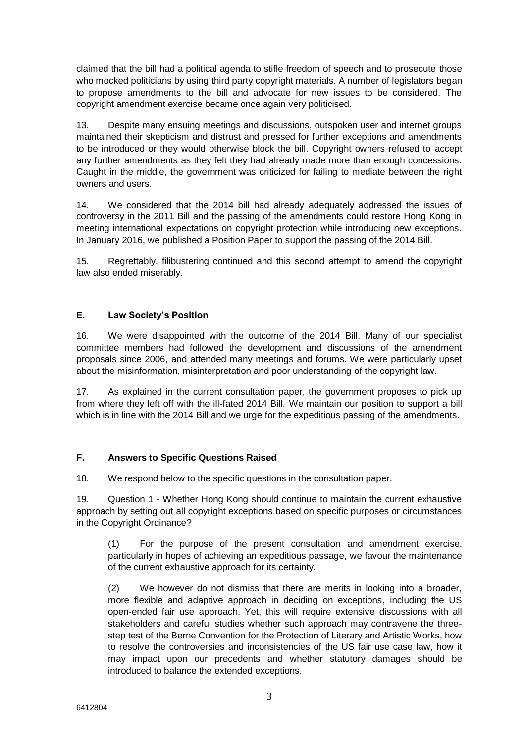claimed that the bill had a political agenda to stifle freedom of speech and to prosecute those who mocked politicians by using third party copyright materials. A number of legislators began to propose amendments to the bill and advocate for new issues to be considered. The copyright amendment exercise became once again very politicised.

13. Despite many ensuing meetings and discussions, outspoken user and internet groups maintained their skepticism and distrust and pressed for further exceptions and amendments to be introduced or they would otherwise block the bill. Copyright owners refused to accept any further amendments as they felt they had already made more than enough concessions. Caught in the middle, the government was criticized for failing to mediate between the right owners and users.

14. We considered that the 2014 bill had already adequately addressed the issues of controversy in the 2011 Bill and the passing of the amendments could restore Hong Kong in meeting international expectations on copyright protection while introducing new exceptions. In January 2016, we published a Position Paper to support the passing of the 2014 Bill.

15. Regrettably, filibustering continued and this second attempt to amend the copyright law also ended miserably.

#### **E. Law Society's Position**

16. We were disappointed with the outcome of the 2014 Bill. Many of our specialist committee members had followed the development and discussions of the amendment proposals since 2006, and attended many meetings and forums. We were particularly upset about the misinformation, misinterpretation and poor understanding of the copyright law.

17. As explained in the current consultation paper, the government proposes to pick up from where they left off with the ill-fated 2014 Bill. We maintain our position to support a bill which is in line with the 2014 Bill and we urge for the expeditious passing of the amendments.

## **F. Answers to Specific Questions Raised**

18. We respond below to the specific questions in the consultation paper.

19. Question 1 - Whether Hong Kong should continue to maintain the current exhaustive approach by setting out all copyright exceptions based on specific purposes or circumstances in the Copyright Ordinance?

(1) For the purpose of the present consultation and amendment exercise, particularly in hopes of achieving an expeditious passage, we favour the maintenance of the current exhaustive approach for its certainty.

(2) We however do not dismiss that there are merits in looking into a broader, more flexible and adaptive approach in deciding on exceptions, including the US open-ended fair use approach. Yet, this will require extensive discussions with all stakeholders and careful studies whether such approach may contravene the threestep test of the Berne Convention for the Protection of Literary and Artistic Works, how to resolve the controversies and inconsistencies of the US fair use case law, how it may impact upon our precedents and whether statutory damages should be introduced to balance the extended exceptions.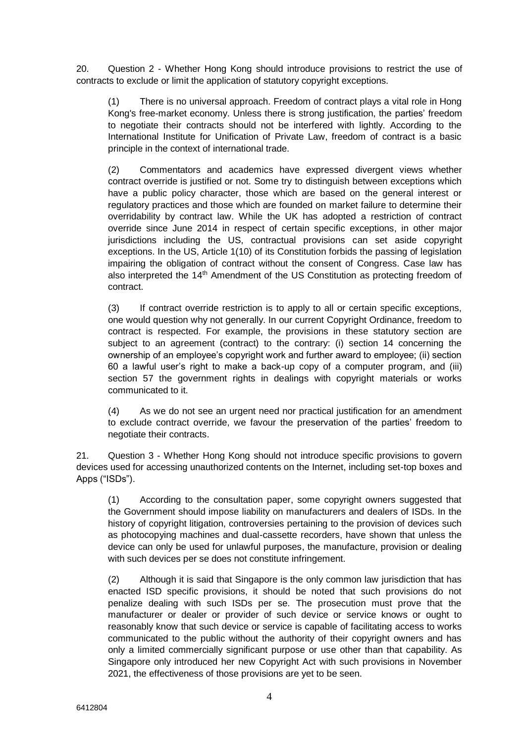20. Question 2 - Whether Hong Kong should introduce provisions to restrict the use of contracts to exclude or limit the application of statutory copyright exceptions.

(1) There is no universal approach. Freedom of contract plays a vital role in Hong Kong's free-market economy. Unless there is strong justification, the parties' freedom to negotiate their contracts should not be interfered with lightly. According to the International Institute for Unification of Private Law, freedom of contract is a basic principle in the context of international trade.

(2) Commentators and academics have expressed divergent views whether contract override is justified or not. Some try to distinguish between exceptions which have a public policy character, those which are based on the general interest or regulatory practices and those which are founded on market failure to determine their overridability by contract law. While the UK has adopted a restriction of contract override since June 2014 in respect of certain specific exceptions, in other major jurisdictions including the US, contractual provisions can set aside copyright exceptions. In the US, Article 1(10) of its Constitution forbids the passing of legislation impairing the obligation of contract without the consent of Congress. Case law has also interpreted the  $14<sup>th</sup>$  Amendment of the US Constitution as protecting freedom of contract.

(3) If contract override restriction is to apply to all or certain specific exceptions, one would question why not generally. In our current Copyright Ordinance, freedom to contract is respected. For example, the provisions in these statutory section are subject to an agreement (contract) to the contrary: (i) section 14 concerning the ownership of an employee's copyright work and further award to employee; (ii) section 60 a lawful user's right to make a back-up copy of a computer program, and (iii) section 57 the government rights in dealings with copyright materials or works communicated to it.

(4) As we do not see an urgent need nor practical justification for an amendment to exclude contract override, we favour the preservation of the parties' freedom to negotiate their contracts.

21. Question 3 - Whether Hong Kong should not introduce specific provisions to govern devices used for accessing unauthorized contents on the Internet, including set-top boxes and Apps ("ISDs").

(1) According to the consultation paper, some copyright owners suggested that the Government should impose liability on manufacturers and dealers of ISDs. In the history of copyright litigation, controversies pertaining to the provision of devices such as photocopying machines and dual-cassette recorders, have shown that unless the device can only be used for unlawful purposes, the manufacture, provision or dealing with such devices per se does not constitute infringement.

(2) Although it is said that Singapore is the only common law jurisdiction that has enacted ISD specific provisions, it should be noted that such provisions do not penalize dealing with such ISDs per se. The prosecution must prove that the manufacturer or dealer or provider of such device or service knows or ought to reasonably know that such device or service is capable of facilitating access to works communicated to the public without the authority of their copyright owners and has only a limited commercially significant purpose or use other than that capability. As Singapore only introduced her new Copyright Act with such provisions in November 2021, the effectiveness of those provisions are yet to be seen.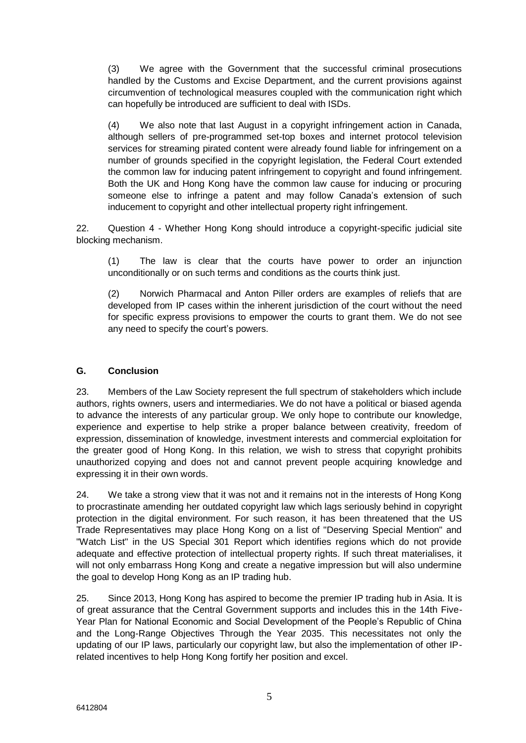(3) We agree with the Government that the successful criminal prosecutions handled by the Customs and Excise Department, and the current provisions against circumvention of technological measures coupled with the communication right which can hopefully be introduced are sufficient to deal with ISDs.

(4) We also note that last August in a copyright infringement action in Canada, although sellers of pre-programmed set-top boxes and internet protocol television services for streaming pirated content were already found liable for infringement on a number of grounds specified in the copyright legislation, the Federal Court extended the common law for inducing patent infringement to copyright and found infringement. Both the UK and Hong Kong have the common law cause for inducing or procuring someone else to infringe a patent and may follow Canada's extension of such inducement to copyright and other intellectual property right infringement.

22. Question 4 - Whether Hong Kong should introduce a copyright-specific judicial site blocking mechanism.

(1) The law is clear that the courts have power to order an injunction unconditionally or on such terms and conditions as the courts think just.

(2) Norwich Pharmacal and Anton Piller orders are examples of reliefs that are developed from IP cases within the inherent jurisdiction of the court without the need for specific express provisions to empower the courts to grant them. We do not see any need to specify the court's powers.

#### **G. Conclusion**

23. Members of the Law Society represent the full spectrum of stakeholders which include authors, rights owners, users and intermediaries. We do not have a political or biased agenda to advance the interests of any particular group. We only hope to contribute our knowledge, experience and expertise to help strike a proper balance between creativity, freedom of expression, dissemination of knowledge, investment interests and commercial exploitation for the greater good of Hong Kong. In this relation, we wish to stress that copyright prohibits unauthorized copying and does not and cannot prevent people acquiring knowledge and expressing it in their own words.

24. We take a strong view that it was not and it remains not in the interests of Hong Kong to procrastinate amending her outdated copyright law which lags seriously behind in copyright protection in the digital environment. For such reason, it has been threatened that the US Trade Representatives may place Hong Kong on a list of "Deserving Special Mention" and "Watch List" in the US Special 301 Report which identifies regions which do not provide adequate and effective protection of intellectual property rights. If such threat materialises, it will not only embarrass Hong Kong and create a negative impression but will also undermine the goal to develop Hong Kong as an IP trading hub.

25. Since 2013, Hong Kong has aspired to become the premier IP trading hub in Asia. It is of great assurance that the Central Government supports and includes this in the 14th Five-Year Plan for National Economic and Social Development of the People's Republic of China and the Long-Range Objectives Through the Year 2035. This necessitates not only the updating of our IP laws, particularly our copyright law, but also the implementation of other IPrelated incentives to help Hong Kong fortify her position and excel.